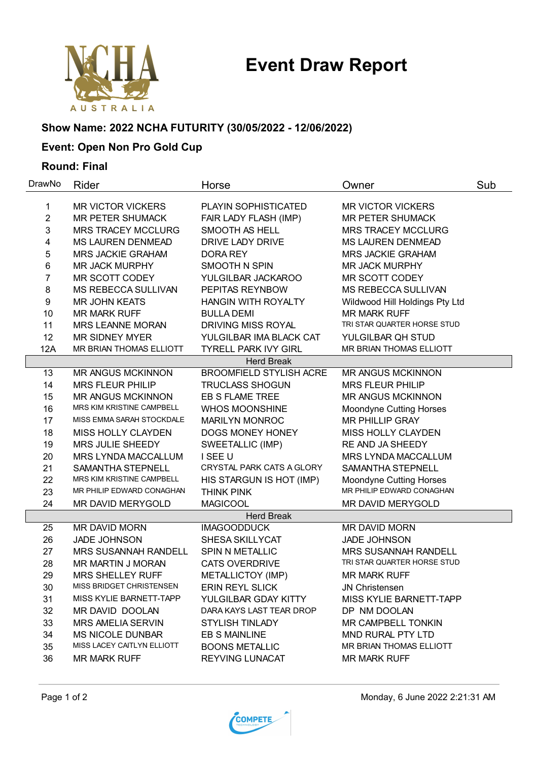# **Event Draw Report**



# **Show Name: 2022 NCHA FUTURITY (30/05/2022 - 12/06/2022)**

# **Event: Open Non Pro Gold Cup**

### **Round: Final**

| DrawNo         | Rider                            | Horse                          | Owner                          | Sub |
|----------------|----------------------------------|--------------------------------|--------------------------------|-----|
| 1              | <b>MR VICTOR VICKERS</b>         | PLAYIN SOPHISTICATED           | <b>MR VICTOR VICKERS</b>       |     |
| $\overline{2}$ | <b>MR PETER SHUMACK</b>          | FAIR LADY FLASH (IMP)          | <b>MR PETER SHUMACK</b>        |     |
| 3              | <b>MRS TRACEY MCCLURG</b>        | SMOOTH AS HELL                 | <b>MRS TRACEY MCCLURG</b>      |     |
| 4              | <b>MS LAUREN DENMEAD</b>         | DRIVE LADY DRIVE               | <b>MS LAUREN DENMEAD</b>       |     |
| 5              | <b>MRS JACKIE GRAHAM</b>         | DORA REY                       | <b>MRS JACKIE GRAHAM</b>       |     |
| 6              | <b>MR JACK MURPHY</b>            | <b>SMOOTH N SPIN</b>           | <b>MR JACK MURPHY</b>          |     |
| 7              | MR SCOTT CODEY                   | YULGILBAR JACKAROO             | MR SCOTT CODEY                 |     |
| 8              | MS REBECCA SULLIVAN              | PEPITAS REYNBOW                | MS REBECCA SULLIVAN            |     |
| 9              | <b>MR JOHN KEATS</b>             | <b>HANGIN WITH ROYALTY</b>     | Wildwood Hill Holdings Pty Ltd |     |
| 10             | <b>MR MARK RUFF</b>              | <b>BULLA DEMI</b>              | <b>MR MARK RUFF</b>            |     |
| 11             | <b>MRS LEANNE MORAN</b>          | <b>DRIVING MISS ROYAL</b>      | TRI STAR QUARTER HORSE STUD    |     |
| 12             | <b>MR SIDNEY MYER</b>            | YULGILBAR IMA BLACK CAT        | YULGILBAR QH STUD              |     |
| 12A            | MR BRIAN THOMAS ELLIOTT          | <b>TYRELL PARK IVY GIRL</b>    | MR BRIAN THOMAS ELLIOTT        |     |
|                |                                  | <b>Herd Break</b>              |                                |     |
| 13             | <b>MR ANGUS MCKINNON</b>         | <b>BROOMFIELD STYLISH ACRE</b> | <b>MR ANGUS MCKINNON</b>       |     |
| 14             | <b>MRS FLEUR PHILIP</b>          | <b>TRUCLASS SHOGUN</b>         | <b>MRS FLEUR PHILIP</b>        |     |
| 15             | <b>MR ANGUS MCKINNON</b>         | EB S FLAME TREE                | <b>MR ANGUS MCKINNON</b>       |     |
| 16             | <b>MRS KIM KRISTINE CAMPBELL</b> | <b>WHOS MOONSHINE</b>          | <b>Moondyne Cutting Horses</b> |     |
| 17             | MISS EMMA SARAH STOCKDALE        | <b>MARILYN MONROC</b>          | <b>MR PHILLIP GRAY</b>         |     |
| 18             | MISS HOLLY CLAYDEN               | DOGS MONEY HONEY               | <b>MISS HOLLY CLAYDEN</b>      |     |
| 19             | MRS JULIE SHEEDY                 | SWEETALLIC (IMP)               | RE AND JA SHEEDY               |     |
| 20             | MRS LYNDA MACCALLUM              | I SEE U                        | <b>MRS LYNDA MACCALLUM</b>     |     |
| 21             | SAMANTHA STEPNELL                | CRYSTAL PARK CATS A GLORY      | SAMANTHA STEPNELL              |     |
| 22             | MRS KIM KRISTINE CAMPBELL        | HIS STARGUN IS HOT (IMP)       | <b>Moondyne Cutting Horses</b> |     |
| 23             | MR PHILIP EDWARD CONAGHAN        | THINK PINK                     | MR PHILIP EDWARD CONAGHAN      |     |
| 24             | MR DAVID MERYGOLD                | <b>MAGICOOL</b>                | MR DAVID MERYGOLD              |     |
|                |                                  | <b>Herd Break</b>              |                                |     |
| 25             | MR DAVID MORN                    | <b>IMAGOODDUCK</b>             | MR DAVID MORN                  |     |
| 26             | <b>JADE JOHNSON</b>              | SHESA SKILLYCAT                | <b>JADE JOHNSON</b>            |     |
| 27             | <b>MRS SUSANNAH RANDELL</b>      | SPIN N METALLIC                | <b>MRS SUSANNAH RANDELL</b>    |     |
| 28             | MR MARTIN J MORAN                | <b>CATS OVERDRIVE</b>          | TRI STAR QUARTER HORSE STUD    |     |
| 29             | <b>MRS SHELLEY RUFF</b>          | METALLICTOY (IMP)              | <b>MR MARK RUFF</b>            |     |
| 30             | MISS BRIDGET CHRISTENSEN         | ERIN REYL SLICK                | JN Christensen                 |     |
| 31             | MISS KYLIE BARNETT-TAPP          | YULGILBAR GDAY KITTY           | MISS KYLIE BARNETT-TAPP        |     |
| 32             | MR DAVID DOOLAN                  | DARA KAYS LAST TEAR DROP       | DP NM DOOLAN                   |     |
| 33             | <b>MRS AMELIA SERVIN</b>         | <b>STYLISH TINLADY</b>         | MR CAMPBELL TONKIN             |     |
| 34             | <b>MS NICOLE DUNBAR</b>          | <b>EB S MAINLINE</b>           | <b>MND RURAL PTY LTD</b>       |     |
| 35             | MISS LACEY CAITLYN ELLIOTT       | <b>BOONS METALLIC</b>          | MR BRIAN THOMAS ELLIOTT        |     |
| 36             | <b>MR MARK RUFF</b>              | <b>REYVING LUNACAT</b>         | <b>MR MARK RUFF</b>            |     |